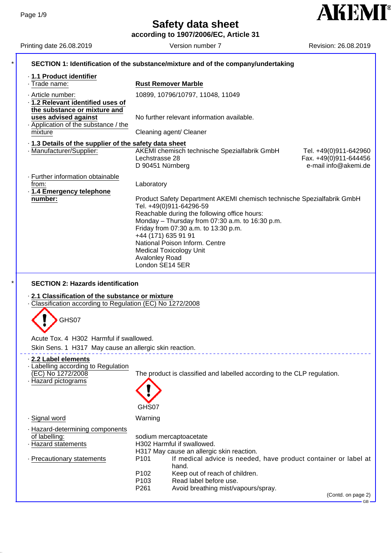**AKEMI**<sup>®</sup>

**according to 1907/2006/EC, Article 31**

| Printing date 26.08.2019                                                                                                                               | Version number 7                                                                                                     | Revision: 26.08.2019  |
|--------------------------------------------------------------------------------------------------------------------------------------------------------|----------------------------------------------------------------------------------------------------------------------|-----------------------|
|                                                                                                                                                        | SECTION 1: Identification of the substance/mixture and of the company/undertaking                                    |                       |
| · 1.1 Product identifier                                                                                                                               |                                                                                                                      |                       |
| · Trade name:                                                                                                                                          | <b>Rust Remover Marble</b>                                                                                           |                       |
| · Article number:                                                                                                                                      | 10899, 10796/10797, 11048, 11049                                                                                     |                       |
| · 1.2 Relevant identified uses of                                                                                                                      |                                                                                                                      |                       |
| the substance or mixture and                                                                                                                           |                                                                                                                      |                       |
| uses advised against                                                                                                                                   | No further relevant information available.                                                                           |                       |
| Application of the substance / the                                                                                                                     |                                                                                                                      |                       |
| mixture                                                                                                                                                | Cleaning agent/ Cleaner                                                                                              |                       |
|                                                                                                                                                        |                                                                                                                      |                       |
| .1.3 Details of the supplier of the safety data sheet<br>· Manufacturer/Supplier:                                                                      | AKEMI chemisch technische Spezialfabrik GmbH                                                                         | Tel. +49(0)911-642960 |
|                                                                                                                                                        | Lechstrasse 28                                                                                                       | Fax. +49(0)911-644456 |
|                                                                                                                                                        | D 90451 Nürnberg                                                                                                     | e-mail info@akemi.de  |
|                                                                                                                                                        |                                                                                                                      |                       |
| · Further information obtainable                                                                                                                       |                                                                                                                      |                       |
| from:                                                                                                                                                  | Laboratory                                                                                                           |                       |
| · 1.4 Emergency telephone<br>number:                                                                                                                   |                                                                                                                      |                       |
|                                                                                                                                                        | Product Safety Department AKEMI chemisch technische Spezialfabrik GmbH<br>Tel. +49(0)911-64296-59                    |                       |
|                                                                                                                                                        | Reachable during the following office hours:                                                                         |                       |
|                                                                                                                                                        | Monday - Thursday from 07:30 a.m. to 16:30 p.m.                                                                      |                       |
|                                                                                                                                                        | Friday from 07:30 a.m. to 13:30 p.m.                                                                                 |                       |
|                                                                                                                                                        | +44 (171) 635 91 91                                                                                                  |                       |
|                                                                                                                                                        | National Poison Inform. Centre                                                                                       |                       |
|                                                                                                                                                        | <b>Medical Toxicology Unit</b>                                                                                       |                       |
|                                                                                                                                                        | Avalonley Road                                                                                                       |                       |
|                                                                                                                                                        |                                                                                                                      |                       |
|                                                                                                                                                        | London SE14 5ER                                                                                                      |                       |
| GHS07                                                                                                                                                  |                                                                                                                      |                       |
| Acute Tox. 4 H302 Harmful if swallowed.                                                                                                                |                                                                                                                      |                       |
| <b>SECTION 2: Hazards identification</b><br>2.1 Classification of the substance or mixture<br>Classification according to Regulation (EC) No 1272/2008 |                                                                                                                      |                       |
| Skin Sens. 1 H317 May cause an allergic skin reaction.                                                                                                 |                                                                                                                      |                       |
|                                                                                                                                                        |                                                                                                                      |                       |
|                                                                                                                                                        |                                                                                                                      |                       |
| (EC) No 1272/2008                                                                                                                                      | The product is classified and labelled according to the CLP regulation.                                              |                       |
|                                                                                                                                                        |                                                                                                                      |                       |
|                                                                                                                                                        |                                                                                                                      |                       |
|                                                                                                                                                        |                                                                                                                      |                       |
|                                                                                                                                                        | GHS07                                                                                                                |                       |
|                                                                                                                                                        | Warning                                                                                                              |                       |
| 2.2 Label elements<br>- Labelling according to Regulation<br>- Hazard pictograms<br>· Signal word                                                      |                                                                                                                      |                       |
|                                                                                                                                                        |                                                                                                                      |                       |
|                                                                                                                                                        | sodium mercaptoacetate                                                                                               |                       |
|                                                                                                                                                        | H302 Harmful if swallowed.                                                                                           |                       |
|                                                                                                                                                        | H317 May cause an allergic skin reaction.<br>P101<br>If medical advice is needed, have product container or label at |                       |
|                                                                                                                                                        | hand.                                                                                                                |                       |
| - Hazard-determining components<br>of labelling:<br>· Hazard statements<br>· Precautionary statements                                                  | P <sub>102</sub><br>Keep out of reach of children.                                                                   |                       |
|                                                                                                                                                        | Read label before use.<br>P <sub>103</sub>                                                                           |                       |
|                                                                                                                                                        | P261<br>Avoid breathing mist/vapours/spray.                                                                          | (Contd. on page 2)    |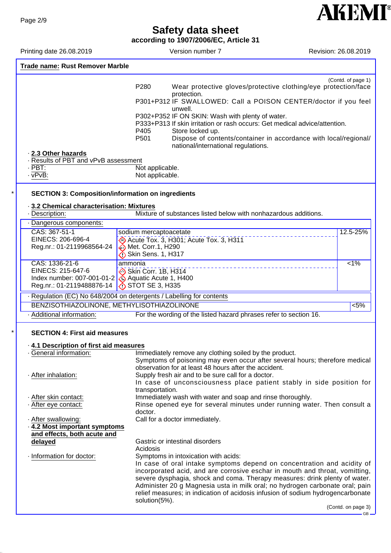**according to 1907/2006/EC, Article 31**

Printing date 26.08.2019 <br>
Version number 7 Revision: 26.08.2019

**AKEMI®** 

| <b>Trade name: Rust Remover Marble</b>                                                                                       |                                                                                                                                                                                                                                                                                                                                                                                                                                                                                                        |                    |
|------------------------------------------------------------------------------------------------------------------------------|--------------------------------------------------------------------------------------------------------------------------------------------------------------------------------------------------------------------------------------------------------------------------------------------------------------------------------------------------------------------------------------------------------------------------------------------------------------------------------------------------------|--------------------|
| 2.3 Other hazards<br>Results of PBT and vPvB assessment<br>$PBT$ :<br>$\cdot$ vPvB:                                          | P280<br>Wear protective gloves/protective clothing/eye protection/face<br>protection.<br>P301+P312 IF SWALLOWED: Call a POISON CENTER/doctor if you feel<br>unwell.<br>P302+P352 IF ON SKIN: Wash with plenty of water.<br>P333+P313 If skin irritation or rash occurs: Get medical advice/attention.<br>P405<br>Store locked up.<br>Dispose of contents/container in accordance with local/regional/<br>P <sub>501</sub><br>national/international regulations.<br>Not applicable.<br>Not applicable. | (Contd. of page 1) |
| <b>SECTION 3: Composition/information on ingredients</b><br>3.2 Chemical characterisation: Mixtures                          |                                                                                                                                                                                                                                                                                                                                                                                                                                                                                                        |                    |
| - Description:                                                                                                               | Mixture of substances listed below with nonhazardous additions.                                                                                                                                                                                                                                                                                                                                                                                                                                        |                    |
| · Dangerous components:                                                                                                      |                                                                                                                                                                                                                                                                                                                                                                                                                                                                                                        |                    |
| CAS: 367-51-1<br>EINECS: 206-696-4<br>Reg.nr.: 01-2119968564-24                                                              | sodium mercaptoacetate<br>Acute Tox. 3, H301; Acute Tox. 3, H311<br><b>Met. Corr.1, H290</b><br>Skin Sens. 1, H317                                                                                                                                                                                                                                                                                                                                                                                     | 12.5-25%           |
| CAS: 1336-21-6<br>EINECS: 215-647-6<br>Index number: 007-001-01-2<br>Reg.nr.: 01-2119488876-14                               | ammonia<br>Skin Corr. 1B, H314<br>Aquatic Acute 1, H400<br>$\bigcirc$ STOT SE 3, H335                                                                                                                                                                                                                                                                                                                                                                                                                  | $1\%$              |
|                                                                                                                              | - Regulation (EC) No 648/2004 on detergents / Labelling for contents                                                                                                                                                                                                                                                                                                                                                                                                                                   |                    |
| BENZISOTHIAZOLINONE, METHYLISOTHIAZOLINONE                                                                                   |                                                                                                                                                                                                                                                                                                                                                                                                                                                                                                        | 5%                 |
| · Additional information:                                                                                                    | For the wording of the listed hazard phrases refer to section 16.                                                                                                                                                                                                                                                                                                                                                                                                                                      |                    |
| <b>SECTION 4: First aid measures</b><br>4.1 Description of first aid measures<br>General information:<br>· After inhalation: | Immediately remove any clothing soiled by the product.<br>Symptoms of poisoning may even occur after several hours; therefore medical<br>observation for at least 48 hours after the accident.<br>Supply fresh air and to be sure call for a doctor.<br>In case of unconsciousness place patient stably in side position for                                                                                                                                                                           |                    |
| · After skin contact:<br>· After eye contact:<br>· After swallowing:<br>4.2 Most important symptoms                          | transportation.<br>Immediately wash with water and soap and rinse thoroughly.<br>Rinse opened eye for several minutes under running water. Then consult a<br>doctor.<br>Call for a doctor immediately.                                                                                                                                                                                                                                                                                                 |                    |
| and effects, both acute and<br>delayed                                                                                       | Gastric or intestinal disorders<br>Acidosis                                                                                                                                                                                                                                                                                                                                                                                                                                                            |                    |
| · Information for doctor:                                                                                                    | Symptoms in intoxication with acids:<br>In case of oral intake symptoms depend on concentration and acidity of<br>incorporated acid, and are corrosive eschar in mouth and throat, vomitting,<br>severe dysphagia, shock and coma. Therapy measures: drink plenty of water.<br>Administer 20 g Magnesia usta in milk oral; no hydrogen carbonate oral; pain<br>relief measures; in indication of acidosis infusion of sodium hydrogencarbonate<br>solution(5%).                                        | (Contd. on page 3) |
|                                                                                                                              |                                                                                                                                                                                                                                                                                                                                                                                                                                                                                                        | $GB -$             |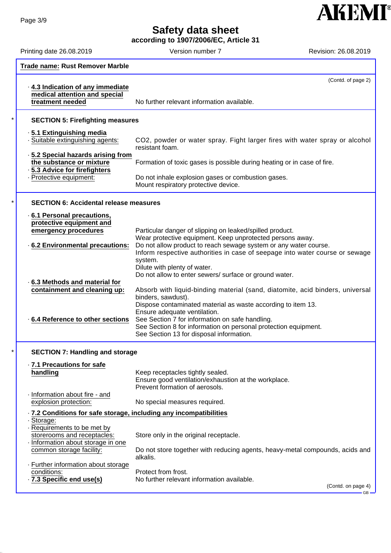**according to 1907/2006/EC, Article 31**



Printing date 26.08.2019 Version number 7 Printing date 26.08.2019

|                                                                    | <b>Trade name: Rust Remover Marble</b>                                                         |                                                                                                                                                                |  |
|--------------------------------------------------------------------|------------------------------------------------------------------------------------------------|----------------------------------------------------------------------------------------------------------------------------------------------------------------|--|
|                                                                    | . 4.3 Indication of any immediate<br>medical attention and special<br>treatment needed         | (Contd. of page 2)<br>No further relevant information available.                                                                                               |  |
|                                                                    |                                                                                                |                                                                                                                                                                |  |
|                                                                    | <b>SECTION 5: Firefighting measures</b>                                                        |                                                                                                                                                                |  |
|                                                                    | ⋅ 5.1 Extinguishing media<br>· Suitable extinguishing agents:                                  | CO2, powder or water spray. Fight larger fires with water spray or alcohol<br>resistant foam.                                                                  |  |
|                                                                    | .5.2 Special hazards arising from<br>the substance or mixture<br>· 5.3 Advice for firefighters | Formation of toxic gases is possible during heating or in case of fire.                                                                                        |  |
|                                                                    | · Protective equipment:                                                                        | Do not inhale explosion gases or combustion gases.<br>Mount respiratory protective device.                                                                     |  |
|                                                                    | <b>SECTION 6: Accidental release measures</b>                                                  |                                                                                                                                                                |  |
|                                                                    | 6.1 Personal precautions,                                                                      |                                                                                                                                                                |  |
|                                                                    | protective equipment and<br>emergency procedures                                               | Particular danger of slipping on leaked/spilled product.<br>Wear protective equipment. Keep unprotected persons away.                                          |  |
|                                                                    | .6.2 Environmental precautions:                                                                | Do not allow product to reach sewage system or any water course.<br>Inform respective authorities in case of seepage into water course or sewage<br>system.    |  |
|                                                                    |                                                                                                | Dilute with plenty of water.<br>Do not allow to enter sewers/ surface or ground water.                                                                         |  |
|                                                                    | 6.3 Methods and material for<br>containment and cleaning up:                                   | Absorb with liquid-binding material (sand, diatomite, acid binders, universal                                                                                  |  |
|                                                                    |                                                                                                | binders, sawdust).                                                                                                                                             |  |
|                                                                    |                                                                                                | Dispose contaminated material as waste according to item 13.<br>Ensure adequate ventilation.                                                                   |  |
|                                                                    | .6.4 Reference to other sections                                                               | See Section 7 for information on safe handling.<br>See Section 8 for information on personal protection equipment.<br>See Section 13 for disposal information. |  |
|                                                                    | <b>SECTION 7: Handling and storage</b>                                                         |                                                                                                                                                                |  |
|                                                                    | · 7.1 Precautions for safe                                                                     |                                                                                                                                                                |  |
|                                                                    | handling                                                                                       | Keep receptacles tightly sealed.<br>Ensure good ventilation/exhaustion at the workplace.<br>Prevent formation of aerosols.                                     |  |
|                                                                    | · Information about fire - and<br>explosion protection:                                        | No special measures required.                                                                                                                                  |  |
| · 7.2 Conditions for safe storage, including any incompatibilities |                                                                                                |                                                                                                                                                                |  |
|                                                                    | · Storage:<br>Requirements to be met by                                                        |                                                                                                                                                                |  |
|                                                                    | storerooms and receptacles:<br>Information about storage in one                                | Store only in the original receptacle.                                                                                                                         |  |
|                                                                    | common storage facility:                                                                       | Do not store together with reducing agents, heavy-metal compounds, acids and<br>alkalis.                                                                       |  |
|                                                                    | - Further information about storage<br>conditions:                                             | Protect from frost.                                                                                                                                            |  |
|                                                                    | · 7.3 Specific end use(s)                                                                      | No further relevant information available.<br>(Contd. on page 4)                                                                                               |  |
|                                                                    |                                                                                                | $GB -$                                                                                                                                                         |  |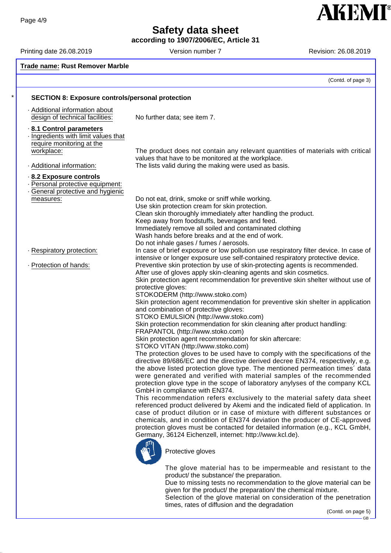**according to 1907/2006/EC, Article 31**

Printing date 26.08.2019 **Version number 7** Revision: 26.08.2019 **Revision: 26.08.2019** 

**AKEMI®** 

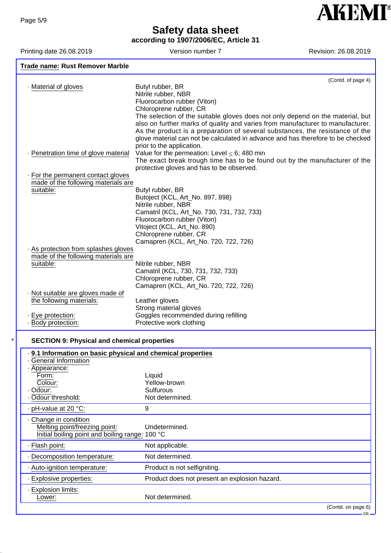**according to 1907/2006/EC, Article 31**

Printing date 26.08.2019 Version number 7 Revision: 26.08.2019

**AKEMI®** 

| <b>Trade name: Rust Remover Marble</b>                    |                                                                                                                                                                 |
|-----------------------------------------------------------|-----------------------------------------------------------------------------------------------------------------------------------------------------------------|
|                                                           | (Contd. of page 4)                                                                                                                                              |
| · Material of gloves                                      | Butyl rubber, BR                                                                                                                                                |
|                                                           | Nitrile rubber, NBR                                                                                                                                             |
|                                                           | Fluorocarbon rubber (Viton)                                                                                                                                     |
|                                                           | Chloroprene rubber, CR                                                                                                                                          |
|                                                           | The selection of the suitable gloves does not only depend on the material, but                                                                                  |
|                                                           | also on further marks of quality and varies from manufacturer to manufacturer.                                                                                  |
|                                                           | As the product is a preparation of several substances, the resistance of the<br>glove material can not be calculated in advance and has therefore to be checked |
|                                                           | prior to the application.                                                                                                                                       |
| - Penetration time of glove material                      | Value for the permeation: Level $\leq$ 6; 480 min                                                                                                               |
|                                                           | The exact break trough time has to be found out by the manufacturer of the                                                                                      |
|                                                           | protective gloves and has to be observed.                                                                                                                       |
| . For the permanent contact gloves                        |                                                                                                                                                                 |
| made of the following materials are                       |                                                                                                                                                                 |
| suitable:                                                 | Butyl rubber, BR                                                                                                                                                |
|                                                           | Butoject (KCL, Art_No. 897, 898)                                                                                                                                |
|                                                           | Nitrile rubber, NBR                                                                                                                                             |
|                                                           | Camatril (KCL, Art_No. 730, 731, 732, 733)                                                                                                                      |
|                                                           | Fluorocarbon rubber (Viton)                                                                                                                                     |
|                                                           | Vitoject (KCL, Art_No. 890)<br>Chloroprene rubber, CR                                                                                                           |
|                                                           | Camapren (KCL, Art_No. 720, 722, 726)                                                                                                                           |
| . As protection from splashes gloves                      |                                                                                                                                                                 |
| made of the following materials are                       |                                                                                                                                                                 |
| suitable:                                                 | Nitrile rubber, NBR                                                                                                                                             |
|                                                           | Camatril (KCL, 730, 731, 732, 733)                                                                                                                              |
|                                                           | Chloroprene rubber, CR                                                                                                                                          |
|                                                           | Camapren (KCL, Art_No. 720, 722, 726)                                                                                                                           |
| · Not suitable are gloves made of                         |                                                                                                                                                                 |
| the following materials:                                  | Leather gloves                                                                                                                                                  |
|                                                           | Strong material gloves                                                                                                                                          |
| · Eye protection:                                         | Goggles recommended during refilling                                                                                                                            |
| · Body protection:                                        | Protective work clothing                                                                                                                                        |
|                                                           |                                                                                                                                                                 |
| <b>SECTION 9: Physical and chemical properties</b>        |                                                                                                                                                                 |
| 9.1 Information on basic physical and chemical properties |                                                                                                                                                                 |
| General Information                                       |                                                                                                                                                                 |
| · Appearance:                                             |                                                                                                                                                                 |
| Form:                                                     | Liquid                                                                                                                                                          |
| Colour:<br>· Odour:                                       | Yellow-brown<br><b>Sulfurous</b>                                                                                                                                |
| · Odour threshold:                                        | Not determined.                                                                                                                                                 |
|                                                           |                                                                                                                                                                 |
| · pH-value at 20 °C:                                      | 9                                                                                                                                                               |

· Change in condition Melting point/freezing point: Undetermined. Initial boiling point and boiling range: 100 °C · Flash point: Not applicable. · Decomposition temperature: Not determined. · Auto-ignition temperature: Product is not selfigniting. · Explosive properties: Product does not present an explosion hazard. · Explosion limits: Lower: Not determined.

(Contd. on page 6)

GB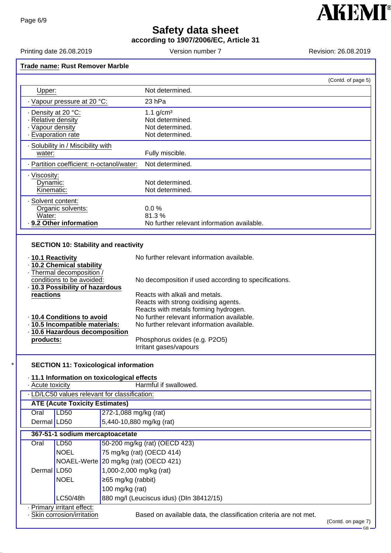**according to 1907/2006/EC, Article 31**

Printing date 26.08.2019 <br>
Version number 7 Revision: 26.08.2019

**AKEMI®** 

٦

ັ້<br>— GB −

|                                                                                                                                                                                                                           |                                       | (Contd. of page 5)                                                                                                                                                                                         |
|---------------------------------------------------------------------------------------------------------------------------------------------------------------------------------------------------------------------------|---------------------------------------|------------------------------------------------------------------------------------------------------------------------------------------------------------------------------------------------------------|
| Upper:                                                                                                                                                                                                                    |                                       | Not determined.                                                                                                                                                                                            |
| · Vapour pressure at 20 °C:                                                                                                                                                                                               |                                       | 23 hPa                                                                                                                                                                                                     |
| Density at 20 °C:                                                                                                                                                                                                         |                                       | $1.1$ g/cm <sup>3</sup>                                                                                                                                                                                    |
| · Relative density                                                                                                                                                                                                        |                                       | Not determined.                                                                                                                                                                                            |
| · Vapour density                                                                                                                                                                                                          |                                       | Not determined.                                                                                                                                                                                            |
| - Evaporation rate                                                                                                                                                                                                        |                                       | Not determined.                                                                                                                                                                                            |
| - Solubility in / Miscibility with<br>water:                                                                                                                                                                              |                                       |                                                                                                                                                                                                            |
|                                                                                                                                                                                                                           |                                       | Fully miscible.                                                                                                                                                                                            |
| - Partition coefficient: n-octanol/water:                                                                                                                                                                                 |                                       | Not determined.                                                                                                                                                                                            |
| · Viscosity:<br>Dynamic:                                                                                                                                                                                                  |                                       | Not determined.                                                                                                                                                                                            |
| Kinematic:                                                                                                                                                                                                                |                                       | Not determined.                                                                                                                                                                                            |
| · Solvent content:                                                                                                                                                                                                        |                                       |                                                                                                                                                                                                            |
| Organic solvents:                                                                                                                                                                                                         |                                       | 0.0%                                                                                                                                                                                                       |
| Water:                                                                                                                                                                                                                    |                                       | 81.3%                                                                                                                                                                                                      |
| 9.2 Other information                                                                                                                                                                                                     |                                       | No further relevant information available.                                                                                                                                                                 |
| · 10.3 Possibility of hazardous<br>reactions<br>· 10.4 Conditions to avoid                                                                                                                                                |                                       | Reacts with alkali and metals.<br>Reacts with strong oxidising agents.<br>Reacts with metals forming hydrogen.<br>No further relevant information available.<br>No further relevant information available. |
| · 10.5 Incompatible materials:<br>· 10.6 Hazardous decomposition                                                                                                                                                          |                                       |                                                                                                                                                                                                            |
| products:                                                                                                                                                                                                                 |                                       | Phosphorus oxides (e.g. P2O5)<br>Irritant gases/vapours                                                                                                                                                    |
| <b>SECTION 11: Toxicological information</b><br>· 11.1 Information on toxicological effects<br>- Acute toxicity<br>. LD/LC50 values relevant for classification:<br><b>ATE (Acute Toxicity Estimates)</b><br>Oral<br>LD50 | 272-1,088 mg/kg (rat)                 | Harmful if swallowed.                                                                                                                                                                                      |
| Dermal LD50                                                                                                                                                                                                               | 5,440-10,880 mg/kg (rat)              |                                                                                                                                                                                                            |
| 367-51-1 sodium mercaptoacetate                                                                                                                                                                                           |                                       |                                                                                                                                                                                                            |
| Oral<br><b>LD50</b>                                                                                                                                                                                                       |                                       | 50-200 mg/kg (rat) (OECD 423)                                                                                                                                                                              |
| <b>NOEL</b>                                                                                                                                                                                                               |                                       | 75 mg/kg (rat) (OECD 414)                                                                                                                                                                                  |
|                                                                                                                                                                                                                           | NOAEL-Werte 20 mg/kg (rat) (OECD 421) |                                                                                                                                                                                                            |
|                                                                                                                                                                                                                           |                                       |                                                                                                                                                                                                            |
| Dermal LD50                                                                                                                                                                                                               | 1,000-2,000 mg/kg (rat)               |                                                                                                                                                                                                            |
| <b>NOEL</b>                                                                                                                                                                                                               | ≥65 mg/kg (rabbit)                    |                                                                                                                                                                                                            |
|                                                                                                                                                                                                                           | 100 mg/kg (rat)                       |                                                                                                                                                                                                            |
| LC50/48h<br>· Primary irritant effect:                                                                                                                                                                                    |                                       | 880 mg/l (Leuciscus idus) (DIn 38412/15)                                                                                                                                                                   |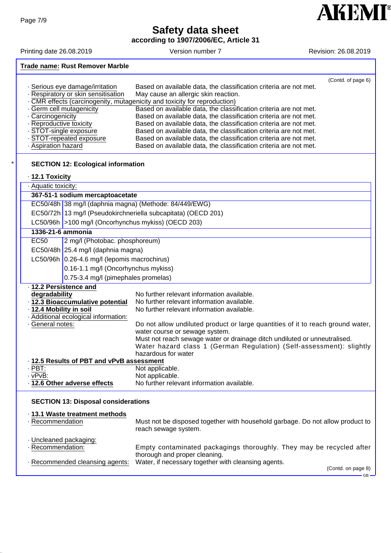**according to 1907/2006/EC, Article 31**

Printing date 26.08.2019 Version number 7 Revision: 26.08.2019

#### **Trade name: Rust Remover Marble**

|                                     |                                                                         | (Contd. of page 6) |
|-------------------------------------|-------------------------------------------------------------------------|--------------------|
| · Serious eye damage/irritation     | Based on available data, the classification criteria are not met.       |                    |
| · Respiratory or skin sensitisation | May cause an allergic skin reaction.                                    |                    |
|                                     | CMR effects (carcinogenity, mutagenicity and toxicity for reproduction) |                    |
| . Germ cell mutagenicity            | Based on available data, the classification criteria are not met.       |                    |
| . Carcinogenicity                   | Based on available data, the classification criteria are not met.       |                    |
| - Reproductive toxicity             | Based on available data, the classification criteria are not met.       |                    |
| · STOT-single exposure              | Based on available data, the classification criteria are not met.       |                    |
| STOT-repeated exposure              | Based on available data, the classification criteria are not met.       |                    |
| · Aspiration hazard                 | Based on available data, the classification criteria are not met.       |                    |

#### **SECTION 12: Ecological information**

### · **12.1 Toxicity**

| · Aquatic toxicity:                        |                                                               |                                                                                             |  |  |
|--------------------------------------------|---------------------------------------------------------------|---------------------------------------------------------------------------------------------|--|--|
|                                            | 367-51-1 sodium mercaptoacetate                               |                                                                                             |  |  |
|                                            |                                                               | EC50/48h 38 mg/l (daphnia magna) (Methode: 84/449/EWG)                                      |  |  |
|                                            | EC50/72h 13 mg/l (Pseudokirchneriella subcapitata) (OECD 201) |                                                                                             |  |  |
|                                            | LC50/96h >100 mg/l (Oncorhynchus mykiss) (OECD 203)           |                                                                                             |  |  |
| 1336-21-6 ammonia                          |                                                               |                                                                                             |  |  |
| <b>EC50</b>                                | 2 mg/l (Photobac. phosphoreum)                                |                                                                                             |  |  |
|                                            | EC50/48h 25.4 mg/l (daphnia magna)                            |                                                                                             |  |  |
|                                            | LC50/96h 0.26-4.6 mg/l (lepomis macrochirus)                  |                                                                                             |  |  |
|                                            | 0.16-1.1 mg/l (Oncorhynchus mykiss)                           |                                                                                             |  |  |
|                                            | 0.75-3.4 mg/l (pimephales promelas)                           |                                                                                             |  |  |
| · 12.2 Persistence and                     |                                                               |                                                                                             |  |  |
| degradability                              |                                                               | No further relevant information available.                                                  |  |  |
|                                            | · 12.3 Bioaccumulative potential                              | No further relevant information available.                                                  |  |  |
| 12.4 Mobility in soil                      |                                                               | No further relevant information available.                                                  |  |  |
|                                            | · Additional ecological information:                          |                                                                                             |  |  |
| General notes:                             |                                                               | Do not allow undiluted product or large quantities of it to reach ground water,             |  |  |
|                                            |                                                               | water course or sewage system.                                                              |  |  |
|                                            |                                                               | Must not reach sewage water or drainage ditch undiluted or unneutralised.                   |  |  |
|                                            |                                                               | Water hazard class 1 (German Regulation) (Self-assessment): slightly<br>hazardous for water |  |  |
| 12.5 Results of PBT and vPvB assessment    |                                                               |                                                                                             |  |  |
| $\cdot$ PBT:                               |                                                               | Not applicable.                                                                             |  |  |
| $\cdot$ vPvB:                              |                                                               | Not applicable.                                                                             |  |  |
|                                            | · 12.6 Other adverse effects                                  | No further relevant information available.                                                  |  |  |
|                                            |                                                               |                                                                                             |  |  |
| <b>SECTION 13: Disposal considerations</b> |                                                               |                                                                                             |  |  |
|                                            | ⋅ 13.1 Waste treatment methods                                |                                                                                             |  |  |

#### · Recommendation Must not be disposed together with household garbage. Do not allow product to reach sewage system. · Uncleaned packaging: · Recommendation: Empty contaminated packagings thoroughly. They may be recycled after thorough and proper cleaning. · Recommended cleansing agents: Water, if necessary together with cleansing agents. (Contd. on page 8)

GB

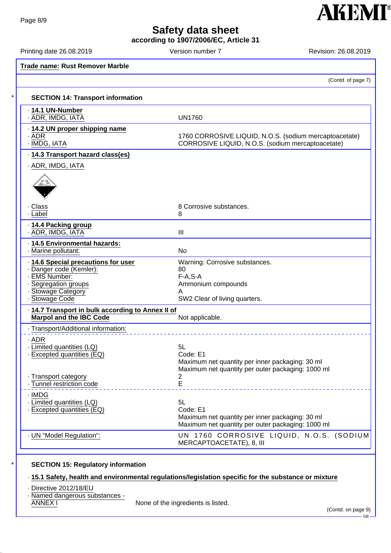**according to 1907/2006/EC, Article 31**

Printing date 26.08.2019 Version number 7 Printing date 26.08.2019

**AKEMI**<sup>®</sup>

| <b>Trade name: Rust Remover Marble</b>                                                                                                      |                                                                                                                        |
|---------------------------------------------------------------------------------------------------------------------------------------------|------------------------------------------------------------------------------------------------------------------------|
|                                                                                                                                             | (Contd. of page 7)                                                                                                     |
| <b>SECTION 14: Transport information</b>                                                                                                    |                                                                                                                        |
| · 14.1 UN-Number<br>· ADR, IMDG, IATA                                                                                                       | <b>UN1760</b>                                                                                                          |
| 14.2 UN proper shipping name<br>· ADR<br>$\cdot$ IMDG, IATA                                                                                 | 1760 CORROSIVE LIQUID, N.O.S. (sodium mercaptoacetate)<br>CORROSIVE LIQUID, N.O.S. (sodium mercaptoacetate)            |
| 14.3 Transport hazard class(es)                                                                                                             |                                                                                                                        |
| · ADR, IMDG, IATA                                                                                                                           |                                                                                                                        |
|                                                                                                                                             |                                                                                                                        |
| · Class<br>· Label                                                                                                                          | 8 Corrosive substances.<br>8                                                                                           |
| 14.4 Packing group<br>· ADR, IMDG, IATA                                                                                                     | $\mathbf{III}$                                                                                                         |
| · 14.5 Environmental hazards:<br>· Marine pollutant:                                                                                        | No                                                                                                                     |
| 14.6 Special precautions for user<br>· Danger code (Kemler):<br>- EMS Number:<br>- Segregation groups<br>· Stowage Category<br>Stowage Code | Warning: Corrosive substances.<br>80<br>$F-A, S-A$<br>Ammonium compounds<br>SW2 Clear of living quarters.              |
| · 14.7 Transport in bulk according to Annex II of<br><b>Marpol and the IBC Code</b>                                                         | Not applicable.                                                                                                        |
| · Transport/Additional information:                                                                                                         |                                                                                                                        |
| ADR .<br>· Limited quantities (LQ)<br>Excepted quantities (EQ)                                                                              | 5L<br>Code: E1<br>Maximum net quantity per inner packaging: 30 ml<br>Maximum net quantity per outer packaging: 1000 ml |
| - Transport category<br>- Tunnel restriction code                                                                                           | $\overline{c}$<br>E                                                                                                    |
| · IMDG<br>· Limited quantities (LQ)<br>· Excepted quantities (EQ)                                                                           | 5L<br>Code: E1<br>Maximum net quantity per inner packaging: 30 ml<br>Maximum net quantity per outer packaging: 1000 ml |
| - UN "Model Regulation":                                                                                                                    | UN 1760 CORROSIVE LIQUID, N.O.S. (SODIUM<br>MERCAPTOACETATE), 8, III                                                   |

### **SECTION 15: Regulatory information**

### · **15.1 Safety, health and environmental regulations/legislation specific for the substance or mixture**

· Directive 2012/18/EU

· Named dangerous substances -

None of the ingredients is listed.